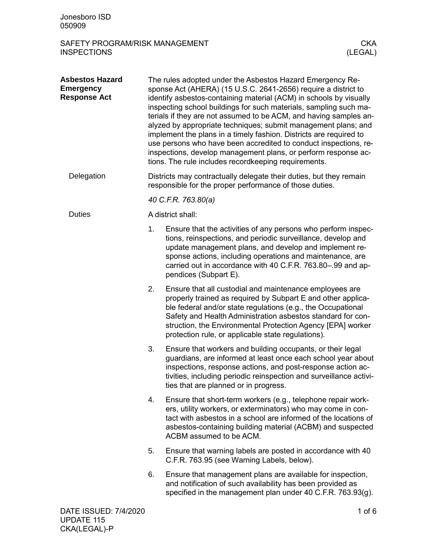| Jonesboro ISD<br>050909                                           |                                                                                                                                                                                                                                                                                                                                                                                                                                                                                                                                                                                                                                                                                   |                                                                                                                                                                                                                                                                                                                                                                             |  |
|-------------------------------------------------------------------|-----------------------------------------------------------------------------------------------------------------------------------------------------------------------------------------------------------------------------------------------------------------------------------------------------------------------------------------------------------------------------------------------------------------------------------------------------------------------------------------------------------------------------------------------------------------------------------------------------------------------------------------------------------------------------------|-----------------------------------------------------------------------------------------------------------------------------------------------------------------------------------------------------------------------------------------------------------------------------------------------------------------------------------------------------------------------------|--|
| SAFETY PROGRAM/RISK MANAGEMENT<br><b>INSPECTIONS</b>              |                                                                                                                                                                                                                                                                                                                                                                                                                                                                                                                                                                                                                                                                                   | <b>CKA</b><br>(LEGAL)                                                                                                                                                                                                                                                                                                                                                       |  |
| <b>Asbestos Hazard</b><br><b>Emergency</b><br><b>Response Act</b> | The rules adopted under the Asbestos Hazard Emergency Re-<br>sponse Act (AHERA) (15 U.S.C. 2641-2656) require a district to<br>identify asbestos-containing material (ACM) in schools by visually<br>inspecting school buildings for such materials, sampling such ma-<br>terials if they are not assumed to be ACM, and having samples an-<br>alyzed by appropriate techniques; submit management plans; and<br>implement the plans in a timely fashion. Districts are required to<br>use persons who have been accredited to conduct inspections, re-<br>inspections, develop management plans, or perform response ac-<br>tions. The rule includes recordkeeping requirements. |                                                                                                                                                                                                                                                                                                                                                                             |  |
| Delegation                                                        | Districts may contractually delegate their duties, but they remain<br>responsible for the proper performance of those duties.                                                                                                                                                                                                                                                                                                                                                                                                                                                                                                                                                     |                                                                                                                                                                                                                                                                                                                                                                             |  |
|                                                                   | 40 C.F.R. 763.80(a)                                                                                                                                                                                                                                                                                                                                                                                                                                                                                                                                                                                                                                                               |                                                                                                                                                                                                                                                                                                                                                                             |  |
| <b>Duties</b>                                                     |                                                                                                                                                                                                                                                                                                                                                                                                                                                                                                                                                                                                                                                                                   | A district shall:                                                                                                                                                                                                                                                                                                                                                           |  |
|                                                                   | 1.                                                                                                                                                                                                                                                                                                                                                                                                                                                                                                                                                                                                                                                                                | Ensure that the activities of any persons who perform inspec-<br>tions, reinspections, and periodic surveillance, develop and<br>update management plans, and develop and implement re-<br>sponse actions, including operations and maintenance, are<br>carried out in accordance with 40 C.F.R. 763.80-.99 and ap-<br>pendices (Subpart E).                                |  |
|                                                                   | 2.                                                                                                                                                                                                                                                                                                                                                                                                                                                                                                                                                                                                                                                                                | Ensure that all custodial and maintenance employees are<br>properly trained as required by Subpart E and other applica-<br>ble federal and/or state regulations (e.g., the Occupational<br>Safety and Health Administration asbestos standard for con-<br>struction, the Environmental Protection Agency [EPA] worker<br>protection rule, or applicable state regulations). |  |
|                                                                   | 3.                                                                                                                                                                                                                                                                                                                                                                                                                                                                                                                                                                                                                                                                                | Ensure that workers and building occupants, or their legal<br>guardians, are informed at least once each school year about<br>inspections, response actions, and post-response action ac-<br>tivities, including periodic reinspection and surveillance activi-<br>ties that are planned or in progress.                                                                    |  |
|                                                                   | 4.                                                                                                                                                                                                                                                                                                                                                                                                                                                                                                                                                                                                                                                                                | Ensure that short-term workers (e.g., telephone repair work-<br>ers, utility workers, or exterminators) who may come in con-<br>tact with asbestos in a school are informed of the locations of<br>asbestos-containing building material (ACBM) and suspected<br>ACBM assumed to be ACM.                                                                                    |  |
|                                                                   | 5.                                                                                                                                                                                                                                                                                                                                                                                                                                                                                                                                                                                                                                                                                | Ensure that warning labels are posted in accordance with 40<br>C.F.R. 763.95 (see Warning Labels, below).                                                                                                                                                                                                                                                                   |  |
|                                                                   | 6.                                                                                                                                                                                                                                                                                                                                                                                                                                                                                                                                                                                                                                                                                | Ensure that management plans are available for inspection,<br>and notification of such availability has been provided as<br>specified in the management plan under 40 C.F.R. 763.93(g).                                                                                                                                                                                     |  |
| DATE ISSUED: 7/4/2020                                             |                                                                                                                                                                                                                                                                                                                                                                                                                                                                                                                                                                                                                                                                                   | $1$ of $6$                                                                                                                                                                                                                                                                                                                                                                  |  |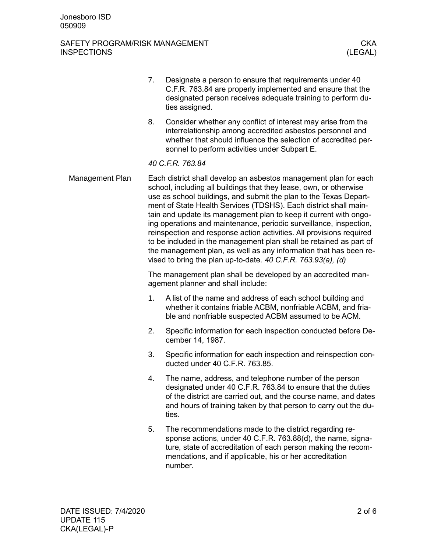# SAFETY PROGRAM/RISK MANAGEMENT (CKA CHART CHART) SAFETY PROGRAM/RISK MANAGEMENT **INSPECTIONS**

|                 | 7.                                                                                                                                                                                                                                                                                                                                                                                                                                                                                                                                                                                                                                                                                                              | Designate a person to ensure that requirements under 40<br>C.F.R. 763.84 are properly implemented and ensure that the<br>designated person receives adequate training to perform du-<br>ties assigned.                                                              |  |
|-----------------|-----------------------------------------------------------------------------------------------------------------------------------------------------------------------------------------------------------------------------------------------------------------------------------------------------------------------------------------------------------------------------------------------------------------------------------------------------------------------------------------------------------------------------------------------------------------------------------------------------------------------------------------------------------------------------------------------------------------|---------------------------------------------------------------------------------------------------------------------------------------------------------------------------------------------------------------------------------------------------------------------|--|
|                 | 8.                                                                                                                                                                                                                                                                                                                                                                                                                                                                                                                                                                                                                                                                                                              | Consider whether any conflict of interest may arise from the<br>interrelationship among accredited asbestos personnel and<br>whether that should influence the selection of accredited per-<br>sonnel to perform activities under Subpart E.                        |  |
|                 |                                                                                                                                                                                                                                                                                                                                                                                                                                                                                                                                                                                                                                                                                                                 | 40 C.F.R. 763.84                                                                                                                                                                                                                                                    |  |
| Management Plan | Each district shall develop an asbestos management plan for each<br>school, including all buildings that they lease, own, or otherwise<br>use as school buildings, and submit the plan to the Texas Depart-<br>ment of State Health Services (TDSHS). Each district shall main-<br>tain and update its management plan to keep it current with ongo-<br>ing operations and maintenance, periodic surveillance, inspection,<br>reinspection and response action activities. All provisions required<br>to be included in the management plan shall be retained as part of<br>the management plan, as well as any information that has been re-<br>vised to bring the plan up-to-date. $40$ C.F.R. 763.93(a), (d) |                                                                                                                                                                                                                                                                     |  |
|                 | The management plan shall be developed by an accredited man-<br>agement planner and shall include:                                                                                                                                                                                                                                                                                                                                                                                                                                                                                                                                                                                                              |                                                                                                                                                                                                                                                                     |  |
|                 | 1.                                                                                                                                                                                                                                                                                                                                                                                                                                                                                                                                                                                                                                                                                                              | A list of the name and address of each school building and<br>whether it contains friable ACBM, nonfriable ACBM, and fria-<br>ble and nonfriable suspected ACBM assumed to be ACM.                                                                                  |  |
|                 | 2.                                                                                                                                                                                                                                                                                                                                                                                                                                                                                                                                                                                                                                                                                                              | Specific information for each inspection conducted before De-<br>cember 14, 1987.                                                                                                                                                                                   |  |
|                 | 3.                                                                                                                                                                                                                                                                                                                                                                                                                                                                                                                                                                                                                                                                                                              | Specific information for each inspection and reinspection con-<br>ducted under 40 C.F.R. 763.85.                                                                                                                                                                    |  |
|                 | 4.                                                                                                                                                                                                                                                                                                                                                                                                                                                                                                                                                                                                                                                                                                              | The name, address, and telephone number of the person<br>designated under 40 C.F.R. 763.84 to ensure that the duties<br>of the district are carried out, and the course name, and dates<br>and hours of training taken by that person to carry out the du-<br>ties. |  |
|                 | 5.                                                                                                                                                                                                                                                                                                                                                                                                                                                                                                                                                                                                                                                                                                              | The recommendations made to the district regarding re-<br>sponse actions, under 40 C.F.R. 763.88(d), the name, signa-<br>ture, state of accreditation of each person making the recom-<br>mendations, and if applicable, his or her accreditation<br>number.        |  |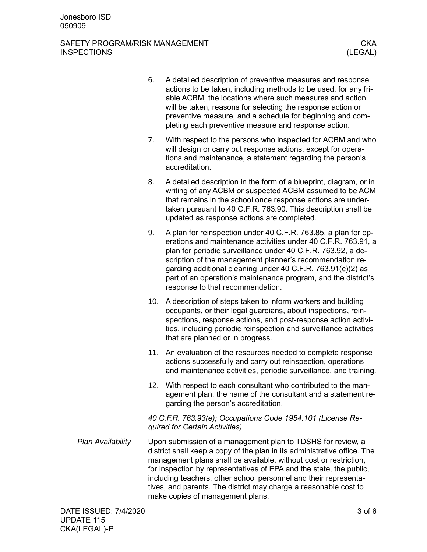### SAFETY PROGRAM/RISK MANAGEMENT CHANGEMENT CKA INSPECTIONS (LEGAL)

- 6. A detailed description of preventive measures and response actions to be taken, including methods to be used, for any friable ACBM, the locations where such measures and action will be taken, reasons for selecting the response action or preventive measure, and a schedule for beginning and completing each preventive measure and response action. 7. With respect to the persons who inspected for ACBM and who will design or carry out response actions, except for operations and maintenance, a statement regarding the person's accreditation. 8. A detailed description in the form of a blueprint, diagram, or in writing of any ACBM or suspected ACBM assumed to be ACM that remains in the school once response actions are undertaken pursuant to 40 C.F.R. 763.90. This description shall be updated as response actions are completed. 9. A plan for reinspection under 40 C.F.R. 763.85, a plan for operations and maintenance activities under 40 C.F.R. 763.91, a plan for periodic surveillance under 40 C.F.R. 763.92, a description of the management planner's recommendation regarding additional cleaning under 40 C.F.R. 763.91(c)(2) as part of an operation's maintenance program, and the district's response to that recommendation. 10. A description of steps taken to inform workers and building occupants, or their legal guardians, about inspections, reinspections, response actions, and post-response action activities, including periodic reinspection and surveillance activities that are planned or in progress.
	- 11. An evaluation of the resources needed to complete response actions successfully and carry out reinspection, operations and maintenance activities, periodic surveillance, and training.
	- 12. With respect to each consultant who contributed to the management plan, the name of the consultant and a statement regarding the person's accreditation.

*40 C.F.R. 763.93(e); Occupations Code 1954.101 (License Required for Certain Activities)*

Upon submission of a management plan to TDSHS for review, a district shall keep a copy of the plan in its administrative office. The management plans shall be available, without cost or restriction, for inspection by representatives of EPA and the state, the public, including teachers, other school personnel and their representatives, and parents. The district may charge a reasonable cost to make copies of management plans. *Plan Availability*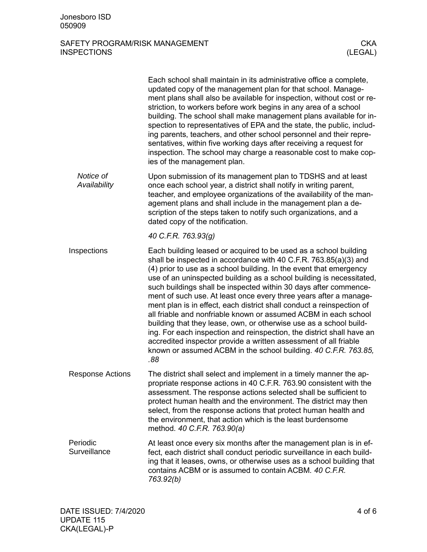# SAFETY PROGRAM/RISK MANAGEMENT (CKA CHART CHART) SAFETY PROGRAM/RISK MANAGEMENT **INSPECTIONS**

|                           | Each school shall maintain in its administrative office a complete,<br>updated copy of the management plan for that school. Manage-<br>ment plans shall also be available for inspection, without cost or re-<br>striction, to workers before work begins in any area of a school<br>building. The school shall make management plans available for in-<br>spection to representatives of EPA and the state, the public, includ-<br>ing parents, teachers, and other school personnel and their repre-<br>sentatives, within five working days after receiving a request for<br>inspection. The school may charge a reasonable cost to make cop-<br>ies of the management plan.                                                                                                                                                                                      |
|---------------------------|----------------------------------------------------------------------------------------------------------------------------------------------------------------------------------------------------------------------------------------------------------------------------------------------------------------------------------------------------------------------------------------------------------------------------------------------------------------------------------------------------------------------------------------------------------------------------------------------------------------------------------------------------------------------------------------------------------------------------------------------------------------------------------------------------------------------------------------------------------------------|
| Notice of<br>Availability | Upon submission of its management plan to TDSHS and at least<br>once each school year, a district shall notify in writing parent,<br>teacher, and employee organizations of the availability of the man-<br>agement plans and shall include in the management plan a de-<br>scription of the steps taken to notify such organizations, and a<br>dated copy of the notification.                                                                                                                                                                                                                                                                                                                                                                                                                                                                                      |
|                           | 40 C.F.R. 763.93(g)                                                                                                                                                                                                                                                                                                                                                                                                                                                                                                                                                                                                                                                                                                                                                                                                                                                  |
| Inspections               | Each building leased or acquired to be used as a school building<br>shall be inspected in accordance with 40 C.F.R. 763.85(a)(3) and<br>(4) prior to use as a school building. In the event that emergency<br>use of an uninspected building as a school building is necessitated,<br>such buildings shall be inspected within 30 days after commence-<br>ment of such use. At least once every three years after a manage-<br>ment plan is in effect, each district shall conduct a reinspection of<br>all friable and nonfriable known or assumed ACBM in each school<br>building that they lease, own, or otherwise use as a school build-<br>ing. For each inspection and reinspection, the district shall have an<br>accredited inspector provide a written assessment of all friable<br>known or assumed ACBM in the school building. 40 C.F.R. 763.85,<br>.88 |
| <b>Response Actions</b>   | The district shall select and implement in a timely manner the ap-<br>propriate response actions in 40 C.F.R. 763.90 consistent with the<br>assessment. The response actions selected shall be sufficient to<br>protect human health and the environment. The district may then<br>select, from the response actions that protect human health and<br>the environment, that action which is the least burdensome<br>method. 40 C.F.R. 763.90(a)                                                                                                                                                                                                                                                                                                                                                                                                                      |
| Periodic<br>Surveillance  | At least once every six months after the management plan is in ef-<br>fect, each district shall conduct periodic surveillance in each build-<br>ing that it leases, owns, or otherwise uses as a school building that<br>contains ACBM or is assumed to contain ACBM. 40 C.F.R.<br>763.92(b)                                                                                                                                                                                                                                                                                                                                                                                                                                                                                                                                                                         |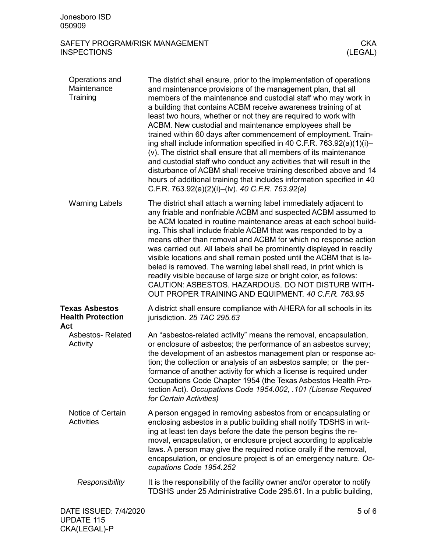# SAFETY PROGRAM/RISK MANAGEMENT (CKA CHART CHART) SAFETY PROGRAM/RISK MANAGEMENT **INSPECTIONS**

| Operations and<br>Maintenance<br>Training                | The district shall ensure, prior to the implementation of operations<br>and maintenance provisions of the management plan, that all<br>members of the maintenance and custodial staff who may work in<br>a building that contains ACBM receive awareness training of at<br>least two hours, whether or not they are required to work with<br>ACBM. New custodial and maintenance employees shall be<br>trained within 60 days after commencement of employment. Train-<br>ing shall include information specified in 40 C.F.R. 763.92(a)(1)(i)-<br>(v). The district shall ensure that all members of its maintenance<br>and custodial staff who conduct any activities that will result in the<br>disturbance of ACBM shall receive training described above and 14<br>hours of additional training that includes information specified in 40<br>C.F.R. 763.92(a)(2)(i)–(iv). 40 C.F.R. 763.92(a) |
|----------------------------------------------------------|----------------------------------------------------------------------------------------------------------------------------------------------------------------------------------------------------------------------------------------------------------------------------------------------------------------------------------------------------------------------------------------------------------------------------------------------------------------------------------------------------------------------------------------------------------------------------------------------------------------------------------------------------------------------------------------------------------------------------------------------------------------------------------------------------------------------------------------------------------------------------------------------------|
| <b>Warning Labels</b>                                    | The district shall attach a warning label immediately adjacent to<br>any friable and nonfriable ACBM and suspected ACBM assumed to<br>be ACM located in routine maintenance areas at each school build-<br>ing. This shall include friable ACBM that was responded to by a<br>means other than removal and ACBM for which no response action<br>was carried out. All labels shall be prominently displayed in readily<br>visible locations and shall remain posted until the ACBM that is la-<br>beled is removed. The warning label shall read, in print which is<br>readily visible because of large size or bright color, as follows:<br>CAUTION: ASBESTOS. HAZARDOUS. DO NOT DISTURB WITH-<br>OUT PROPER TRAINING AND EQUIPMENT. 40 C.F.R. 763.95                                                                                                                                              |
| <b>Texas Asbestos</b><br><b>Health Protection</b><br>Act | A district shall ensure compliance with AHERA for all schools in its<br>jurisdiction. 25 TAC 295.63                                                                                                                                                                                                                                                                                                                                                                                                                                                                                                                                                                                                                                                                                                                                                                                                |
| <b>Asbestos-Related</b><br>Activity                      | An "asbestos-related activity" means the removal, encapsulation,<br>or enclosure of asbestos; the performance of an asbestos survey;<br>the development of an asbestos management plan or response ac-<br>tion; the collection or analysis of an asbestos sample; or the per-<br>formance of another activity for which a license is required under<br>Occupations Code Chapter 1954 (the Texas Asbestos Health Pro-<br>tection Act). Occupations Code 1954.002, .101 (License Required<br>for Certain Activities)                                                                                                                                                                                                                                                                                                                                                                                 |
| Notice of Certain<br>Activities                          | A person engaged in removing asbestos from or encapsulating or<br>enclosing asbestos in a public building shall notify TDSHS in writ-<br>ing at least ten days before the date the person begins the re-<br>moval, encapsulation, or enclosure project according to applicable<br>laws. A person may give the required notice orally if the removal,<br>encapsulation, or enclosure project is of an emergency nature. Oc-<br>cupations Code 1954.252                                                                                                                                                                                                                                                                                                                                                                                                                                              |
| Responsibility                                           | It is the responsibility of the facility owner and/or operator to notify<br>TDSHS under 25 Administrative Code 295.61. In a public building,                                                                                                                                                                                                                                                                                                                                                                                                                                                                                                                                                                                                                                                                                                                                                       |